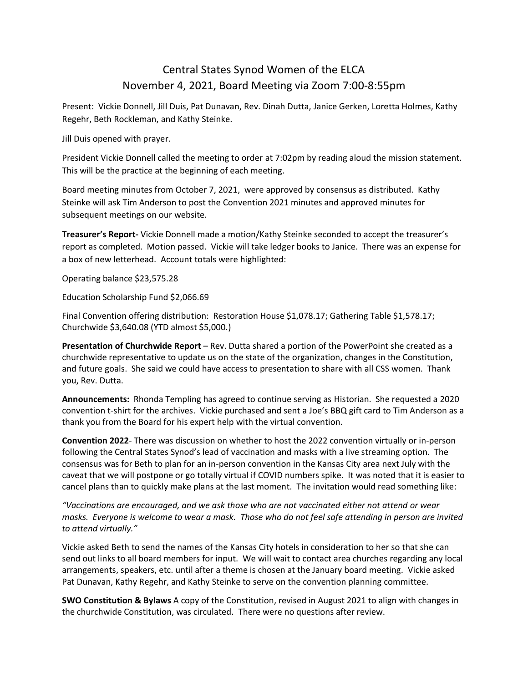## Central States Synod Women of the ELCA November 4, 2021, Board Meeting via Zoom 7:00-8:55pm

Present: Vickie Donnell, Jill Duis, Pat Dunavan, Rev. Dinah Dutta, Janice Gerken, Loretta Holmes, Kathy Regehr, Beth Rockleman, and Kathy Steinke.

Jill Duis opened with prayer.

President Vickie Donnell called the meeting to order at 7:02pm by reading aloud the mission statement. This will be the practice at the beginning of each meeting.

Board meeting minutes from October 7, 2021, were approved by consensus as distributed. Kathy Steinke will ask Tim Anderson to post the Convention 2021 minutes and approved minutes for subsequent meetings on our website.

**Treasurer's Report-** Vickie Donnell made a motion/Kathy Steinke seconded to accept the treasurer's report as completed. Motion passed. Vickie will take ledger books to Janice. There was an expense for a box of new letterhead. Account totals were highlighted:

Operating balance \$23,575.28

Education Scholarship Fund \$2,066.69

Final Convention offering distribution: Restoration House \$1,078.17; Gathering Table \$1,578.17; Churchwide \$3,640.08 (YTD almost \$5,000.)

**Presentation of Churchwide Report** – Rev. Dutta shared a portion of the PowerPoint she created as a churchwide representative to update us on the state of the organization, changes in the Constitution, and future goals. She said we could have access to presentation to share with all CSS women. Thank you, Rev. Dutta.

**Announcements:** Rhonda Templing has agreed to continue serving as Historian. She requested a 2020 convention t-shirt for the archives. Vickie purchased and sent a Joe's BBQ gift card to Tim Anderson as a thank you from the Board for his expert help with the virtual convention.

**Convention 2022**- There was discussion on whether to host the 2022 convention virtually or in-person following the Central States Synod's lead of vaccination and masks with a live streaming option. The consensus was for Beth to plan for an in-person convention in the Kansas City area next July with the caveat that we will postpone or go totally virtual if COVID numbers spike. It was noted that it is easier to cancel plans than to quickly make plans at the last moment. The invitation would read something like:

*"Vaccinations are encouraged, and we ask those who are not vaccinated either not attend or wear masks. Everyone is welcome to wear a mask. Those who do not feel safe attending in person are invited to attend virtually."*

Vickie asked Beth to send the names of the Kansas City hotels in consideration to her so that she can send out links to all board members for input. We will wait to contact area churches regarding any local arrangements, speakers, etc. until after a theme is chosen at the January board meeting. Vickie asked Pat Dunavan, Kathy Regehr, and Kathy Steinke to serve on the convention planning committee.

**SWO Constitution & Bylaws** A copy of the Constitution, revised in August 2021 to align with changes in the churchwide Constitution, was circulated. There were no questions after review.